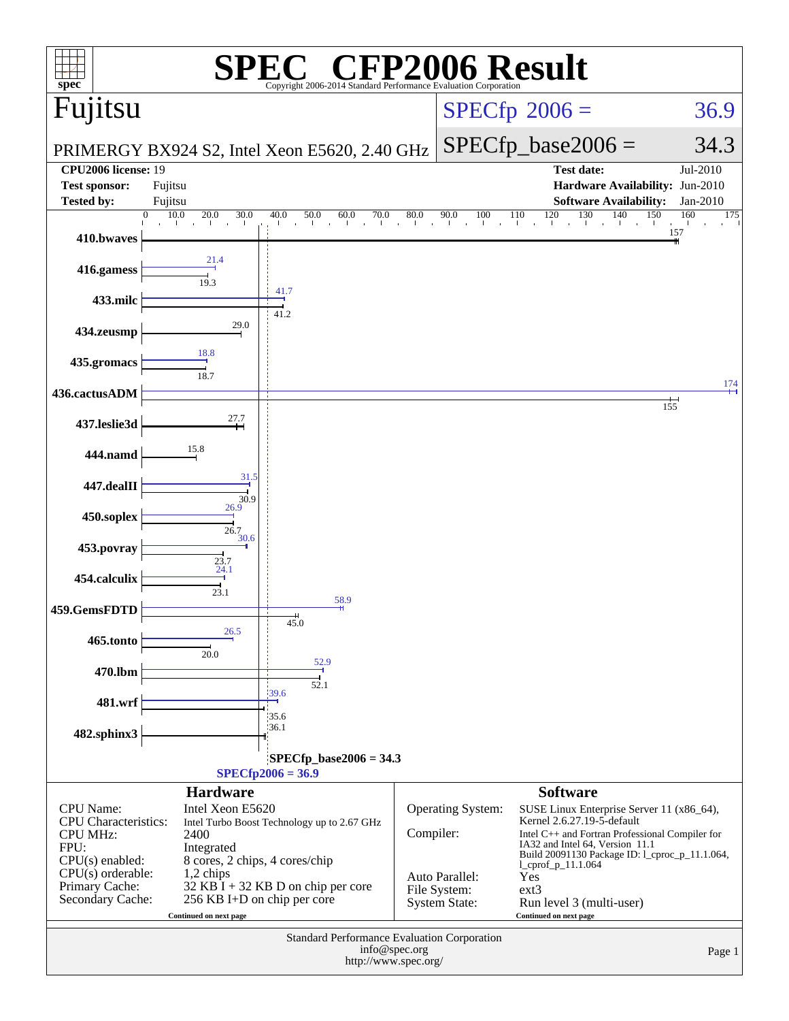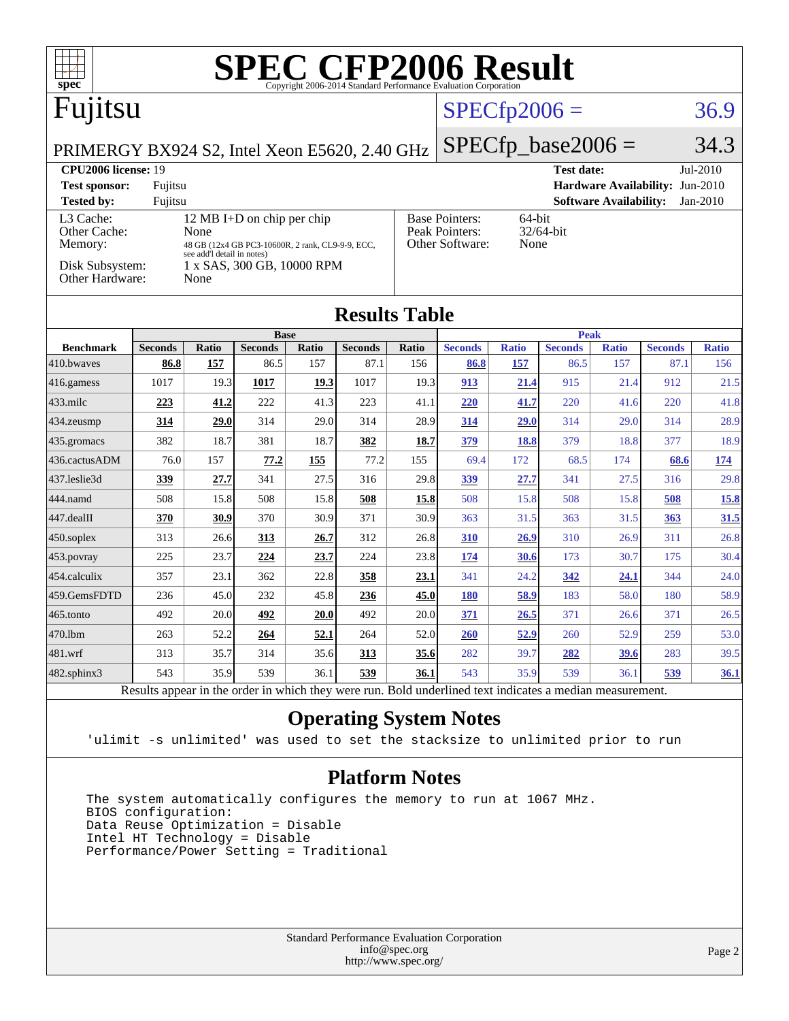| $spec^{\circ}$                                                                                           |                        |                     |                        |              | <b>SPEC CFP2006 Result</b> |                |                                                                |                     |                        |                     |                                 |                     |
|----------------------------------------------------------------------------------------------------------|------------------------|---------------------|------------------------|--------------|----------------------------|----------------|----------------------------------------------------------------|---------------------|------------------------|---------------------|---------------------------------|---------------------|
| Fujitsu                                                                                                  |                        |                     |                        |              |                            | $SPECfp2006 =$ |                                                                |                     | 36.9                   |                     |                                 |                     |
| $SPECfp\_base2006 =$<br>PRIMERGY BX924 S2, Intel Xeon E5620, 2.40 GHz                                    |                        |                     |                        |              |                            |                |                                                                |                     |                        |                     |                                 |                     |
| <b>CPU2006</b> license: 19<br><b>Test date:</b><br>Jul-2010                                              |                        |                     |                        |              |                            |                |                                                                |                     |                        |                     |                                 |                     |
| <b>Test sponsor:</b>                                                                                     | Fujitsu                |                     |                        |              |                            |                |                                                                |                     |                        |                     | Hardware Availability: Jun-2010 |                     |
| <b>Software Availability:</b><br><b>Tested by:</b><br>Fujitsu<br>$Jan-2010$                              |                        |                     |                        |              |                            |                |                                                                |                     |                        |                     |                                 |                     |
| L3 Cache:<br>12 MB I+D on chip per chip<br>Other Cache:<br>None                                          |                        |                     |                        |              |                            |                | <b>Base Pointers:</b><br>64-bit<br>Peak Pointers:<br>32/64-bit |                     |                        |                     |                                 |                     |
| Other Software:<br>None<br>Memory:<br>48 GB (12x4 GB PC3-10600R, 2 rank, CL9-9-9, ECC,                   |                        |                     |                        |              |                            |                |                                                                |                     |                        |                     |                                 |                     |
| see add'l detail in notes)<br>Disk Subsystem:<br>1 x SAS, 300 GB, 10000 RPM<br>Other Hardware:<br>None   |                        |                     |                        |              |                            |                |                                                                |                     |                        |                     |                                 |                     |
| <b>Results Table</b>                                                                                     |                        |                     |                        |              |                            |                |                                                                |                     |                        |                     |                                 |                     |
|                                                                                                          |                        |                     | <b>Base</b>            |              |                            |                |                                                                |                     | <b>Peak</b>            |                     |                                 |                     |
| <b>Benchmark</b><br>410.bwayes                                                                           | <b>Seconds</b><br>86.8 | <b>Ratio</b><br>157 | <b>Seconds</b><br>86.5 | Ratio<br>157 | <b>Seconds</b><br>87.1     | Ratio<br>156   | <b>Seconds</b><br>86.8                                         | <b>Ratio</b><br>157 | <b>Seconds</b><br>86.5 | <b>Ratio</b><br>157 | <b>Seconds</b><br>87.1          | <b>Ratio</b><br>156 |
| 416.gamess                                                                                               | 1017                   | 19.3                | 1017                   | 19.3         | 1017                       | 19.3           | 913                                                            | 21.4                | 915                    | 21.4                | 912                             | 21.5                |
| $433$ .milc                                                                                              | 223                    | 41.2                | 222                    | 41.3         | 223                        | 41.1           | 220                                                            | 41.7                | 220                    | 41.6                | 220                             | 41.8                |
| $434$ . zeusmp                                                                                           | 314                    | 29.0                | 314                    | 29.0         | 314                        | 28.9           | 314                                                            | 29.0                | 314                    | 29.0                | 314                             | 28.9                |
| 435.gromacs                                                                                              | 382                    | 18.7                | 381                    | 18.7         | 382                        | 18.7           | 379                                                            | <u>18.8</u>         | 379                    | 18.8                | 377                             | 18.9                |
| 436.cactusADM                                                                                            | 76.0                   | 157                 | 77.2                   | 155          | 77.2                       | 155            | 69.4                                                           | 172                 | 68.5                   | 174                 | 68.6                            | 174                 |
| 437.leslie3d                                                                                             | 339                    | 27.7                | 341                    | 27.5         | 316                        | 29.8           | 339                                                            | 27.7                | 341                    | 27.5                | 316                             | 29.8                |
| 444.namd                                                                                                 | 508                    | 15.8                | 508                    | 15.8         | 508                        | 15.8           | 508                                                            | 15.8                | 508                    | 15.8                | 508                             | <u>15.8</u>         |
| 447.dealII                                                                                               | 370                    | 30.9                | 370                    | 30.9         | 371                        | 30.9           | 363                                                            | 31.5                | 363                    | 31.5                | 363                             | 31.5                |
| $450$ .soplex                                                                                            | 313                    | 26.6                | 313                    | 26.7         | 312                        | 26.8           | 310                                                            | 26.9                | 310                    | 26.9                | 311                             | 26.8                |
| 453.povray                                                                                               | 225                    | 23.7                | 224                    | 23.7         | 224                        | 23.8           | 174                                                            | 30.6                | 173                    | 30.7                | 175                             | 30.4                |
| 454.calculix                                                                                             | 357                    | 23.1                | 362                    | 22.8         | 358                        | 23.1           | 341                                                            | 24.2                | 342                    | 24.1                | 344                             | 24.0                |
| 459.GemsFDTD                                                                                             | 236                    | 45.0                | 232                    | 45.8         | 236                        | 45.0           | <b>180</b>                                                     | 58.9                | 183                    | 58.0                | 180                             | 58.9                |
| $465$ .tonto                                                                                             | 492                    | 20.0                | 492                    | 20.0         | 492                        | 20.0           | 371                                                            | 26.5                | 371                    | 26.6                | 371                             | 26.5                |
| 470.1bm                                                                                                  | 263                    | 52.2                | 264                    | 52.1         | 264                        | 52.0           | <b>260</b>                                                     | 52.9                | 260                    | 52.9                | 259                             | 53.0                |
| 481.wrf                                                                                                  | 313                    | 35.7                | 314                    | 35.6         | 313                        | 35.6           | 282                                                            | 39.7                | 282                    | 39.6                | 283                             | 39.5                |
| $482$ .sphinx $3$                                                                                        | 543                    | 35.9                | 539                    | 36.1         | 539                        | 36.1           | 543                                                            | 35.9                | 539                    | 36.1                | 539                             | 36.1                |
| Results appear in the order in which they were run. Bold underlined text indicates a median measurement. |                        |                     |                        |              |                            |                |                                                                |                     |                        |                     |                                 |                     |

#### **[Operating System Notes](http://www.spec.org/auto/cpu2006/Docs/result-fields.html#OperatingSystemNotes)**

'ulimit -s unlimited' was used to set the stacksize to unlimited prior to run

#### **[Platform Notes](http://www.spec.org/auto/cpu2006/Docs/result-fields.html#PlatformNotes)**

 The system automatically configures the memory to run at 1067 MHz. BIOS configuration: Data Reuse Optimization = Disable Intel HT Technology = Disable Performance/Power Setting = Traditional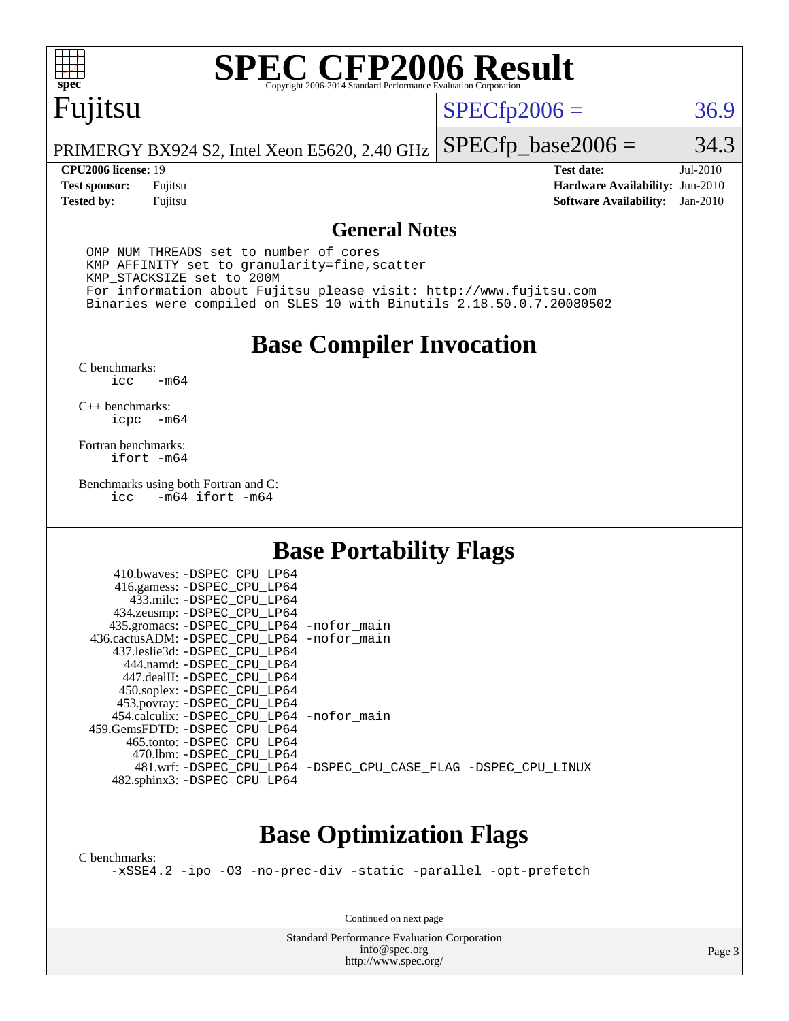

# **[SPEC CFP2006 Result](http://www.spec.org/auto/cpu2006/Docs/result-fields.html#SPECCFP2006Result)**

## Fujitsu

#### $SPECfp2006 = 36.9$  $SPECfp2006 = 36.9$

PRIMERGY BX924 S2, Intel Xeon E5620, 2.40 GHz  $SPECTp\_base2006 = 34.3$ 

**[Tested by:](http://www.spec.org/auto/cpu2006/Docs/result-fields.html#Testedby)** Fujitsu **[Software Availability:](http://www.spec.org/auto/cpu2006/Docs/result-fields.html#SoftwareAvailability)** Jan-2010

**[CPU2006 license:](http://www.spec.org/auto/cpu2006/Docs/result-fields.html#CPU2006license)** 19 **[Test date:](http://www.spec.org/auto/cpu2006/Docs/result-fields.html#Testdate)** Jul-2010 **[Test sponsor:](http://www.spec.org/auto/cpu2006/Docs/result-fields.html#Testsponsor)** Fujitsu **[Hardware Availability:](http://www.spec.org/auto/cpu2006/Docs/result-fields.html#HardwareAvailability)** Jun-2010

#### **[General Notes](http://www.spec.org/auto/cpu2006/Docs/result-fields.html#GeneralNotes)**

 OMP\_NUM\_THREADS set to number of cores KMP\_AFFINITY set to granularity=fine,scatter KMP\_STACKSIZE set to 200M For information about Fujitsu please visit: <http://www.fujitsu.com> Binaries were compiled on SLES 10 with Binutils 2.18.50.0.7.20080502

**[Base Compiler Invocation](http://www.spec.org/auto/cpu2006/Docs/result-fields.html#BaseCompilerInvocation)**

[C benchmarks](http://www.spec.org/auto/cpu2006/Docs/result-fields.html#Cbenchmarks):  $-m64$ 

[C++ benchmarks:](http://www.spec.org/auto/cpu2006/Docs/result-fields.html#CXXbenchmarks) [icpc -m64](http://www.spec.org/cpu2006/results/res2010q3/cpu2006-20100813-12866.flags.html#user_CXXbase_intel_icpc_64bit_bedb90c1146cab66620883ef4f41a67e)

[Fortran benchmarks](http://www.spec.org/auto/cpu2006/Docs/result-fields.html#Fortranbenchmarks): [ifort -m64](http://www.spec.org/cpu2006/results/res2010q3/cpu2006-20100813-12866.flags.html#user_FCbase_intel_ifort_64bit_ee9d0fb25645d0210d97eb0527dcc06e)

[Benchmarks using both Fortran and C](http://www.spec.org/auto/cpu2006/Docs/result-fields.html#BenchmarksusingbothFortranandC): [icc -m64](http://www.spec.org/cpu2006/results/res2010q3/cpu2006-20100813-12866.flags.html#user_CC_FCbase_intel_icc_64bit_0b7121f5ab7cfabee23d88897260401c) [ifort -m64](http://www.spec.org/cpu2006/results/res2010q3/cpu2006-20100813-12866.flags.html#user_CC_FCbase_intel_ifort_64bit_ee9d0fb25645d0210d97eb0527dcc06e)

#### **[Base Portability Flags](http://www.spec.org/auto/cpu2006/Docs/result-fields.html#BasePortabilityFlags)**

| 410.bwaves: -DSPEC CPU LP64                |                                                                |
|--------------------------------------------|----------------------------------------------------------------|
| 416.gamess: -DSPEC_CPU_LP64                |                                                                |
| 433.milc: -DSPEC CPU LP64                  |                                                                |
| 434.zeusmp: -DSPEC_CPU_LP64                |                                                                |
| 435.gromacs: -DSPEC_CPU_LP64 -nofor_main   |                                                                |
| 436.cactusADM: -DSPEC CPU LP64 -nofor main |                                                                |
| 437.leslie3d: -DSPEC CPU LP64              |                                                                |
| 444.namd: -DSPEC CPU LP64                  |                                                                |
| 447.dealII: -DSPEC_CPU LP64                |                                                                |
| 450.soplex: -DSPEC_CPU_LP64                |                                                                |
| 453.povray: -DSPEC_CPU_LP64                |                                                                |
| 454.calculix: -DSPEC CPU LP64 -nofor main  |                                                                |
| 459.GemsFDTD: - DSPEC_CPU LP64             |                                                                |
| 465.tonto: - DSPEC CPU LP64                |                                                                |
| 470.1bm: - DSPEC CPU LP64                  |                                                                |
|                                            | 481.wrf: -DSPEC CPU_LP64 -DSPEC_CPU_CASE_FLAG -DSPEC_CPU_LINUX |
| 482.sphinx3: -DSPEC_CPU_LP64               |                                                                |
|                                            |                                                                |

#### **[Base Optimization Flags](http://www.spec.org/auto/cpu2006/Docs/result-fields.html#BaseOptimizationFlags)**

[C benchmarks](http://www.spec.org/auto/cpu2006/Docs/result-fields.html#Cbenchmarks):

[-xSSE4.2](http://www.spec.org/cpu2006/results/res2010q3/cpu2006-20100813-12866.flags.html#user_CCbase_f-xSSE42_f91528193cf0b216347adb8b939d4107) [-ipo](http://www.spec.org/cpu2006/results/res2010q3/cpu2006-20100813-12866.flags.html#user_CCbase_f-ipo) [-O3](http://www.spec.org/cpu2006/results/res2010q3/cpu2006-20100813-12866.flags.html#user_CCbase_f-O3) [-no-prec-div](http://www.spec.org/cpu2006/results/res2010q3/cpu2006-20100813-12866.flags.html#user_CCbase_f-no-prec-div) [-static](http://www.spec.org/cpu2006/results/res2010q3/cpu2006-20100813-12866.flags.html#user_CCbase_f-static) [-parallel](http://www.spec.org/cpu2006/results/res2010q3/cpu2006-20100813-12866.flags.html#user_CCbase_f-parallel) [-opt-prefetch](http://www.spec.org/cpu2006/results/res2010q3/cpu2006-20100813-12866.flags.html#user_CCbase_f-opt-prefetch)

Continued on next page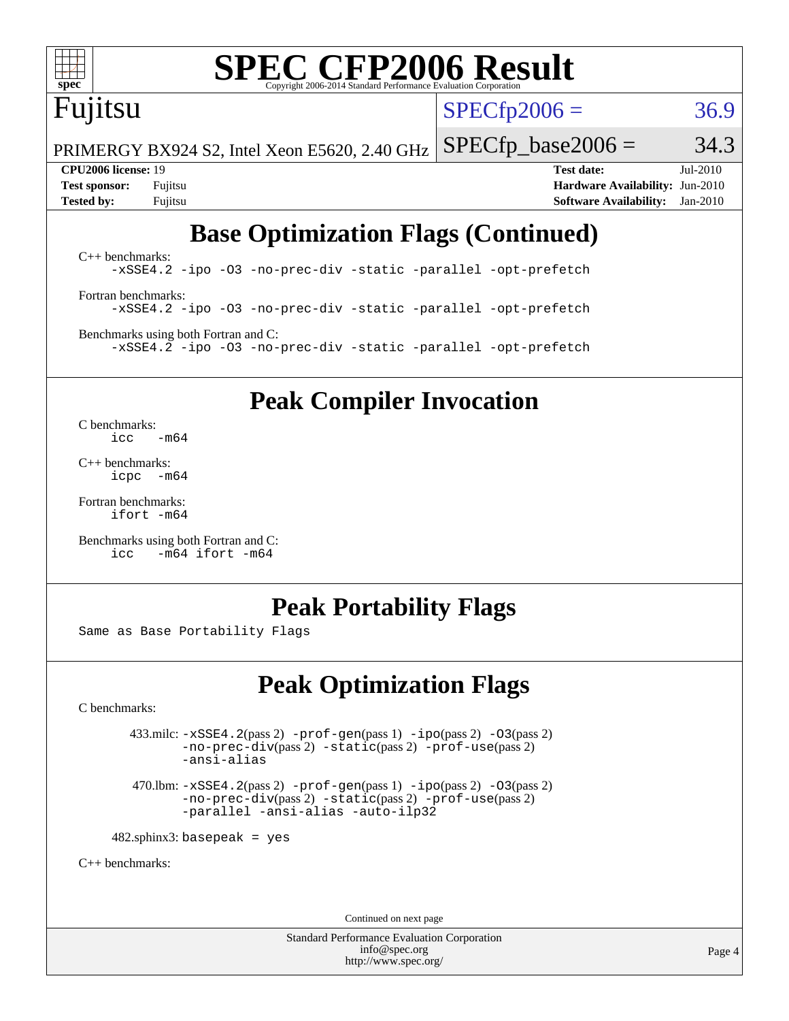

# **[SPEC CFP2006 Result](http://www.spec.org/auto/cpu2006/Docs/result-fields.html#SPECCFP2006Result)**

# Fujitsu

 $SPECTp2006 = 36.9$ 

PRIMERGY BX924 S2, Intel Xeon E5620, 2.40 GHz  $SPECTp\_base2006 = 34.3$ 

**[CPU2006 license:](http://www.spec.org/auto/cpu2006/Docs/result-fields.html#CPU2006license)** 19 **[Test date:](http://www.spec.org/auto/cpu2006/Docs/result-fields.html#Testdate)** Jul-2010 **[Test sponsor:](http://www.spec.org/auto/cpu2006/Docs/result-fields.html#Testsponsor)** Fujitsu **[Hardware Availability:](http://www.spec.org/auto/cpu2006/Docs/result-fields.html#HardwareAvailability)** Jun-2010 **[Tested by:](http://www.spec.org/auto/cpu2006/Docs/result-fields.html#Testedby)** Fujitsu **[Software Availability:](http://www.spec.org/auto/cpu2006/Docs/result-fields.html#SoftwareAvailability)** Jan-2010

## **[Base Optimization Flags \(Continued\)](http://www.spec.org/auto/cpu2006/Docs/result-fields.html#BaseOptimizationFlags)**

[C++ benchmarks:](http://www.spec.org/auto/cpu2006/Docs/result-fields.html#CXXbenchmarks) [-xSSE4.2](http://www.spec.org/cpu2006/results/res2010q3/cpu2006-20100813-12866.flags.html#user_CXXbase_f-xSSE42_f91528193cf0b216347adb8b939d4107) [-ipo](http://www.spec.org/cpu2006/results/res2010q3/cpu2006-20100813-12866.flags.html#user_CXXbase_f-ipo) [-O3](http://www.spec.org/cpu2006/results/res2010q3/cpu2006-20100813-12866.flags.html#user_CXXbase_f-O3) [-no-prec-div](http://www.spec.org/cpu2006/results/res2010q3/cpu2006-20100813-12866.flags.html#user_CXXbase_f-no-prec-div) [-static](http://www.spec.org/cpu2006/results/res2010q3/cpu2006-20100813-12866.flags.html#user_CXXbase_f-static) [-parallel](http://www.spec.org/cpu2006/results/res2010q3/cpu2006-20100813-12866.flags.html#user_CXXbase_f-parallel) [-opt-prefetch](http://www.spec.org/cpu2006/results/res2010q3/cpu2006-20100813-12866.flags.html#user_CXXbase_f-opt-prefetch) [Fortran benchmarks](http://www.spec.org/auto/cpu2006/Docs/result-fields.html#Fortranbenchmarks): [-xSSE4.2](http://www.spec.org/cpu2006/results/res2010q3/cpu2006-20100813-12866.flags.html#user_FCbase_f-xSSE42_f91528193cf0b216347adb8b939d4107) [-ipo](http://www.spec.org/cpu2006/results/res2010q3/cpu2006-20100813-12866.flags.html#user_FCbase_f-ipo) [-O3](http://www.spec.org/cpu2006/results/res2010q3/cpu2006-20100813-12866.flags.html#user_FCbase_f-O3) [-no-prec-div](http://www.spec.org/cpu2006/results/res2010q3/cpu2006-20100813-12866.flags.html#user_FCbase_f-no-prec-div) [-static](http://www.spec.org/cpu2006/results/res2010q3/cpu2006-20100813-12866.flags.html#user_FCbase_f-static) [-parallel](http://www.spec.org/cpu2006/results/res2010q3/cpu2006-20100813-12866.flags.html#user_FCbase_f-parallel) [-opt-prefetch](http://www.spec.org/cpu2006/results/res2010q3/cpu2006-20100813-12866.flags.html#user_FCbase_f-opt-prefetch) [Benchmarks using both Fortran and C](http://www.spec.org/auto/cpu2006/Docs/result-fields.html#BenchmarksusingbothFortranandC):

[-xSSE4.2](http://www.spec.org/cpu2006/results/res2010q3/cpu2006-20100813-12866.flags.html#user_CC_FCbase_f-xSSE42_f91528193cf0b216347adb8b939d4107) [-ipo](http://www.spec.org/cpu2006/results/res2010q3/cpu2006-20100813-12866.flags.html#user_CC_FCbase_f-ipo) [-O3](http://www.spec.org/cpu2006/results/res2010q3/cpu2006-20100813-12866.flags.html#user_CC_FCbase_f-O3) [-no-prec-div](http://www.spec.org/cpu2006/results/res2010q3/cpu2006-20100813-12866.flags.html#user_CC_FCbase_f-no-prec-div) [-static](http://www.spec.org/cpu2006/results/res2010q3/cpu2006-20100813-12866.flags.html#user_CC_FCbase_f-static) [-parallel](http://www.spec.org/cpu2006/results/res2010q3/cpu2006-20100813-12866.flags.html#user_CC_FCbase_f-parallel) [-opt-prefetch](http://www.spec.org/cpu2006/results/res2010q3/cpu2006-20100813-12866.flags.html#user_CC_FCbase_f-opt-prefetch)

#### **[Peak Compiler Invocation](http://www.spec.org/auto/cpu2006/Docs/result-fields.html#PeakCompilerInvocation)**

[C benchmarks](http://www.spec.org/auto/cpu2006/Docs/result-fields.html#Cbenchmarks):  $\text{icc}$   $-\text{m64}$ 

[C++ benchmarks:](http://www.spec.org/auto/cpu2006/Docs/result-fields.html#CXXbenchmarks) [icpc -m64](http://www.spec.org/cpu2006/results/res2010q3/cpu2006-20100813-12866.flags.html#user_CXXpeak_intel_icpc_64bit_bedb90c1146cab66620883ef4f41a67e)

[Fortran benchmarks](http://www.spec.org/auto/cpu2006/Docs/result-fields.html#Fortranbenchmarks): [ifort -m64](http://www.spec.org/cpu2006/results/res2010q3/cpu2006-20100813-12866.flags.html#user_FCpeak_intel_ifort_64bit_ee9d0fb25645d0210d97eb0527dcc06e)

[Benchmarks using both Fortran and C](http://www.spec.org/auto/cpu2006/Docs/result-fields.html#BenchmarksusingbothFortranandC): [icc -m64](http://www.spec.org/cpu2006/results/res2010q3/cpu2006-20100813-12866.flags.html#user_CC_FCpeak_intel_icc_64bit_0b7121f5ab7cfabee23d88897260401c) [ifort -m64](http://www.spec.org/cpu2006/results/res2010q3/cpu2006-20100813-12866.flags.html#user_CC_FCpeak_intel_ifort_64bit_ee9d0fb25645d0210d97eb0527dcc06e)

#### **[Peak Portability Flags](http://www.spec.org/auto/cpu2006/Docs/result-fields.html#PeakPortabilityFlags)**

Same as Base Portability Flags

### **[Peak Optimization Flags](http://www.spec.org/auto/cpu2006/Docs/result-fields.html#PeakOptimizationFlags)**

[C benchmarks](http://www.spec.org/auto/cpu2006/Docs/result-fields.html#Cbenchmarks):

 $433 \text{.}$ milc:  $-xSSE4$ .  $2(pass 2)$  - $prof-gen(pass 1)$  - $ipo(pass 2)$  [-O3](http://www.spec.org/cpu2006/results/res2010q3/cpu2006-20100813-12866.flags.html#user_peakPASS2_CFLAGSPASS2_LDFLAGS433_milc_f-O3) $(pass 2)$ [-no-prec-div](http://www.spec.org/cpu2006/results/res2010q3/cpu2006-20100813-12866.flags.html#user_peakPASS2_CFLAGSPASS2_LDFLAGS433_milc_f-no-prec-div)(pass 2) [-static](http://www.spec.org/cpu2006/results/res2010q3/cpu2006-20100813-12866.flags.html#user_peakPASS2_CFLAGSPASS2_LDFLAGS433_milc_f-static)(pass 2) [-prof-use](http://www.spec.org/cpu2006/results/res2010q3/cpu2006-20100813-12866.flags.html#user_peakPASS2_CFLAGSPASS2_LDFLAGS433_milc_prof_use_bccf7792157ff70d64e32fe3e1250b55)(pass 2) [-ansi-alias](http://www.spec.org/cpu2006/results/res2010q3/cpu2006-20100813-12866.flags.html#user_peakOPTIMIZE433_milc_f-ansi-alias)

 470.lbm: [-xSSE4.2](http://www.spec.org/cpu2006/results/res2010q3/cpu2006-20100813-12866.flags.html#user_peakPASS2_CFLAGSPASS2_LDFLAGS470_lbm_f-xSSE42_f91528193cf0b216347adb8b939d4107)(pass 2) [-prof-gen](http://www.spec.org/cpu2006/results/res2010q3/cpu2006-20100813-12866.flags.html#user_peakPASS1_CFLAGSPASS1_LDFLAGS470_lbm_prof_gen_e43856698f6ca7b7e442dfd80e94a8fc)(pass 1) [-ipo](http://www.spec.org/cpu2006/results/res2010q3/cpu2006-20100813-12866.flags.html#user_peakPASS2_CFLAGSPASS2_LDFLAGS470_lbm_f-ipo)(pass 2) [-O3](http://www.spec.org/cpu2006/results/res2010q3/cpu2006-20100813-12866.flags.html#user_peakPASS2_CFLAGSPASS2_LDFLAGS470_lbm_f-O3)(pass 2) [-no-prec-div](http://www.spec.org/cpu2006/results/res2010q3/cpu2006-20100813-12866.flags.html#user_peakPASS2_CFLAGSPASS2_LDFLAGS470_lbm_f-no-prec-div)(pass 2) [-static](http://www.spec.org/cpu2006/results/res2010q3/cpu2006-20100813-12866.flags.html#user_peakPASS2_CFLAGSPASS2_LDFLAGS470_lbm_f-static)(pass 2) [-prof-use](http://www.spec.org/cpu2006/results/res2010q3/cpu2006-20100813-12866.flags.html#user_peakPASS2_CFLAGSPASS2_LDFLAGS470_lbm_prof_use_bccf7792157ff70d64e32fe3e1250b55)(pass 2) [-parallel](http://www.spec.org/cpu2006/results/res2010q3/cpu2006-20100813-12866.flags.html#user_peakOPTIMIZE470_lbm_f-parallel) [-ansi-alias](http://www.spec.org/cpu2006/results/res2010q3/cpu2006-20100813-12866.flags.html#user_peakOPTIMIZE470_lbm_f-ansi-alias) [-auto-ilp32](http://www.spec.org/cpu2006/results/res2010q3/cpu2006-20100813-12866.flags.html#user_peakCOPTIMIZE470_lbm_f-auto-ilp32)

 $482$ .sphinx3: basepeak = yes

[C++ benchmarks:](http://www.spec.org/auto/cpu2006/Docs/result-fields.html#CXXbenchmarks)

Continued on next page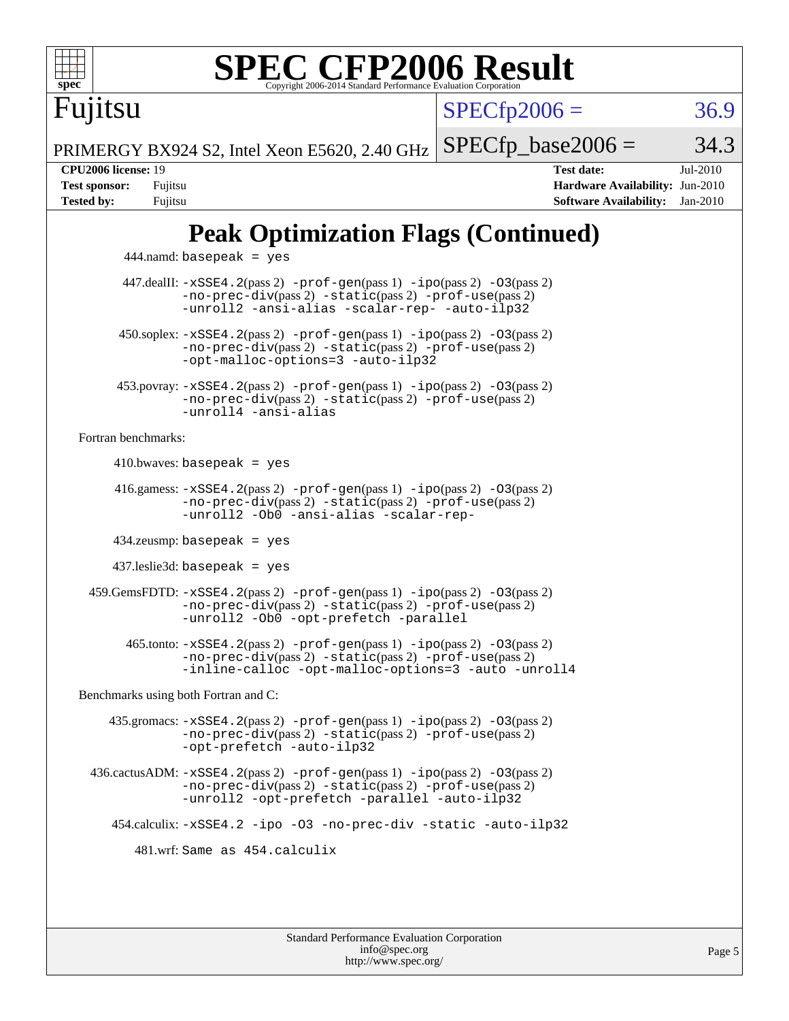